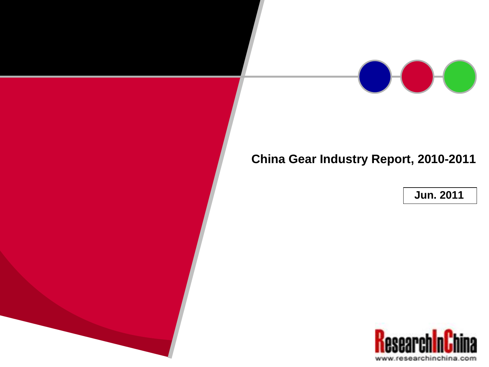

## **China Gear Industry Report, 2010-2011**

**Jun. 2011**

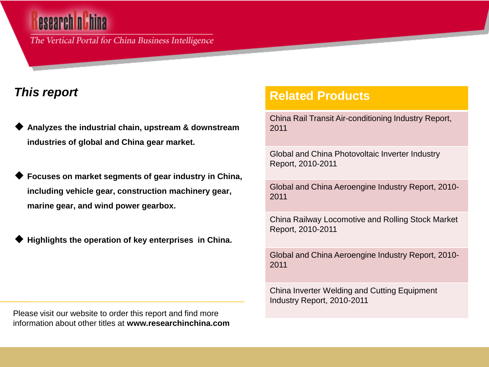# **esearch**

The Vertical Portal for China Business Intelligence

### *This report*

- **Analyzes the industrial chain, upstream & downstream industries of global and China gear market.**
- **Focuses on market segments of gear industry in China, including vehicle gear, construction machinery gear, marine gear, and wind power gearbox.**
- **Highlights the operation of key enterprises in China.**

### **Related Products**

China Rail Transit Air-conditioning Industry Report, 2011

Global and China Photovoltaic Inverter Industry Report, 2010-2011

Global and China Aeroengine Industry Report, 2010- 2011

China Railway Locomotive and Rolling Stock Market Report, 2010-2011

Global and China Aeroengine Industry Report, 2010- 2011

China Inverter Welding and Cutting Equipment Industry Report, 2010-2011

Please visit our website to order this report and find more information about other titles at **www.researchinchina.com**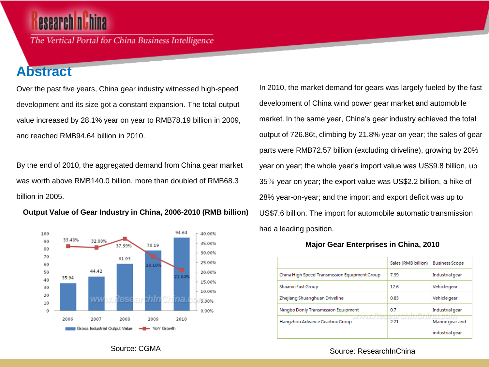The Vertical Portal for China Business Intelligence

### **Abstract**

Over the past five years, China gear industry witnessed high-speed development and its size got a constant expansion. The total output value increased by 28.1% year on year to RMB78.19 billion in 2009, and reached RMB94.64 billion in 2010.

By the end of 2010, the aggregated demand from China gear market was worth above RMB140.0 billion, more than doubled of RMB68.3 billion in 2005.



**Output Value of Gear Industry in China, 2006-2010 (RMB billion)**

In 2010, the market demand for gears was largely fueled by the fast development of China wind power gear market and automobile market. In the same year, China's gear industry achieved the total output of 726.86t, climbing by 21.8% year on year; the sales of gear parts were RMB72.57 billion (excluding driveline), growing by 20% year on year; the whole year's import value was US\$9.8 billion, up 35% year on year; the export value was US\$2.2 billion, a hike of 28% year-on-year; and the import and export deficit was up to US\$7.6 billion. The import for automobile automatic transmission had a leading position.

#### **Major Gear Enterprises in China, 2010**

|                                               | Sales (RMB billion)      | <b>Business Scope</b>           |
|-----------------------------------------------|--------------------------|---------------------------------|
| China High Speed Transmission Equipment Group | 7.39                     | Industrial gear                 |
| Shaanxi Fast Group                            | 12.6                     | Vehicle gear                    |
| Zhejiang Shuanghuan Driveline                 | 0.83                     | Vehicle gear                    |
| Ningbo Donly Transmission Equipment           | 0.7<br>انفاثا صلنفعه دود | Industrial gear                 |
| Hangzhou Advance Gearbox Group                | 2.21                     | <u>kassu</u><br>Marine gear and |
|                                               |                          | industrial gear                 |

Source: CGMA

#### Source: ResearchInChina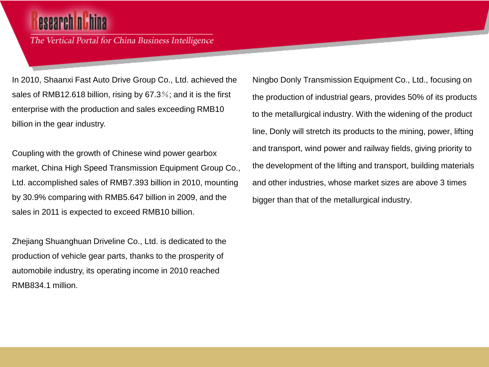The Vertical Portal for China Business Intelligence

In 2010, Shaanxi Fast Auto Drive Group Co., Ltd. achieved the sales of RMB12.618 billion, rising by 67.3%; and it is the first enterprise with the production and sales exceeding RMB10 billion in the gear industry.

Coupling with the growth of Chinese wind power gearbox market, China High Speed Transmission Equipment Group Co., Ltd. accomplished sales of RMB7.393 billion in 2010, mounting by 30.9% comparing with RMB5.647 billion in 2009, and the sales in 2011 is expected to exceed RMB10 billion.

Zhejiang Shuanghuan Driveline Co., Ltd. is dedicated to the production of vehicle gear parts, thanks to the prosperity of automobile industry, its operating income in 2010 reached RMB834.1 million.

Ningbo Donly Transmission Equipment Co., Ltd., focusing on the production of industrial gears, provides 50% of its products to the metallurgical industry. With the widening of the product line, Donly will stretch its products to the mining, power, lifting and transport, wind power and railway fields, giving priority to the development of the lifting and transport, building materials and other industries, whose market sizes are above 3 times bigger than that of the metallurgical industry.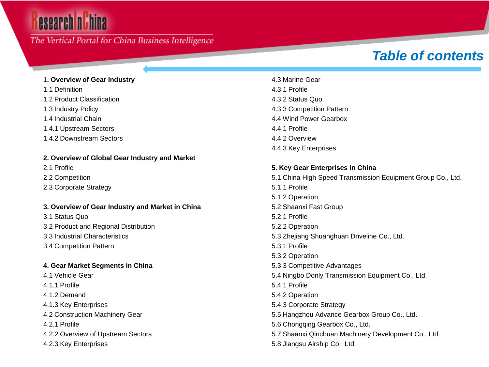# esearch ni hina

### The Vertical Portal for China Business Intelligence

## *Table of contents*

#### 1**. Overview of Gear Industry**

- 1.1 Definition
- 1.2 Product Classification
- 1.3 Industry Policy
- 1.4 Industrial Chain
- 1.4.1 Upstream Sectors
- 1.4.2 Downstream Sectors

#### **2. Overview of Global Gear Industry and Market**

- 2.1 Profile
- 2.2 Competition
- 2.3 Corporate Strategy

#### **3. Overview of Gear Industry and Market in China**

3.1 Status Quo 3.2 Product and Regional Distribution 3.3 Industrial Characteristics 3.4 Competition Pattern

#### **4. Gear Market Segments in China**

- 4.1 Vehicle Gear
- 4.1.1 Profile
- 4.1.2 Demand
- 4.1.3 Key Enterprises
- 4.2 Construction Machinery Gear
- 4.2.1 Profile
- 4.2.2 Overview of Upstream Sectors
- 4.2.3 Key Enterprises

4.3 Marine Gear 4.3.1 Profile 4.3.2 Status Quo 4.3.3 Competition Pattern 4.4 Wind Power Gearbox 4.4.1 Profile 4.4.2 Overview 4.4.3 Key Enterprises

#### **5. Key Gear Enterprises in China**

5.1 China High Speed Transmission Equipment Group Co., Ltd. 5.1.1 Profile 5.1.2 Operation 5.2 Shaanxi Fast Group 5.2.1 Profile 5.2.2 Operation 5.3 Zhejiang Shuanghuan Driveline Co., Ltd. 5.3.1 Profile 5.3.2 Operation 5.3.3 Competitive Advantages 5.4 Ningbo Donly Transmission Equipment Co., Ltd. 5.4.1 Profile 5.4.2 Operation 5.4.3 Corporate Strategy 5.5 Hangzhou Advance Gearbox Group Co., Ltd. 5.6 Chongqing Gearbox Co., Ltd. 5.7 Shaanxi Qinchuan Machinery Development Co., Ltd. 5.8 Jiangsu Airship Co., Ltd.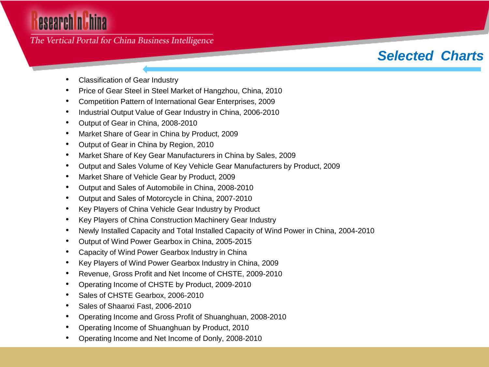# esearch nuhina

### The Vertical Portal for China Business Intelligence

## *Selected Charts*

- Classification of Gear Industry
- Price of Gear Steel in Steel Market of Hangzhou, China, 2010
- Competition Pattern of International Gear Enterprises, 2009
- Industrial Output Value of Gear Industry in China, 2006-2010
- Output of Gear in China, 2008-2010
- Market Share of Gear in China by Product, 2009
- Output of Gear in China by Region, 2010
- Market Share of Key Gear Manufacturers in China by Sales, 2009
- Output and Sales Volume of Key Vehicle Gear Manufacturers by Product, 2009
- Market Share of Vehicle Gear by Product, 2009
- Output and Sales of Automobile in China, 2008-2010
- Output and Sales of Motorcycle in China, 2007-2010
- Key Players of China Vehicle Gear Industry by Product
- Key Players of China Construction Machinery Gear Industry
- Newly Installed Capacity and Total Installed Capacity of Wind Power in China, 2004-2010
- Output of Wind Power Gearbox in China, 2005-2015
- Capacity of Wind Power Gearbox Industry in China
- Key Players of Wind Power Gearbox Industry in China, 2009
- Revenue, Gross Profit and Net Income of CHSTE, 2009-2010
- Operating Income of CHSTE by Product, 2009-2010
- Sales of CHSTE Gearbox, 2006-2010
- Sales of Shaanxi Fast, 2006-2010
- Operating Income and Gross Profit of Shuanghuan, 2008-2010
- Operating Income of Shuanghuan by Product, 2010
- Operating Income and Net Income of Donly, 2008-2010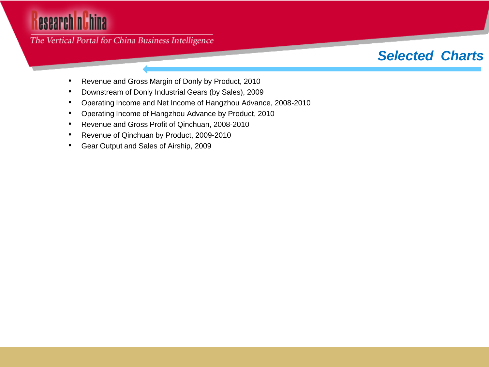# esearch n Lhina

The Vertical Portal for China Business Intelligence

## *Selected Charts*

- Revenue and Gross Margin of Donly by Product, 2010
- Downstream of Donly Industrial Gears (by Sales), 2009
- Operating Income and Net Income of Hangzhou Advance, 2008-2010
- Operating Income of Hangzhou Advance by Product, 2010
- Revenue and Gross Profit of Qinchuan, 2008-2010
- Revenue of Qinchuan by Product, 2009-2010
- Gear Output and Sales of Airship, 2009